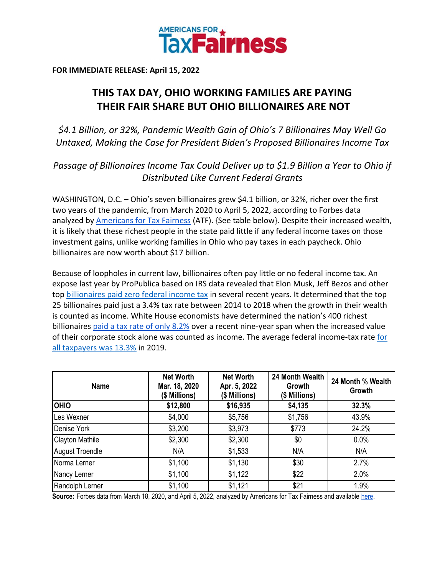

**FOR IMMEDIATE RELEASE: April 15, 2022**

## **THIS TAX DAY, OHIO WORKING FAMILIES ARE PAYING THEIR FAIR SHARE BUT OHIO BILLIONAIRES ARE NOT**

*\$4.1 Billion, or 32%, Pandemic Wealth Gain of Ohio's 7 Billionaires May Well Go Untaxed, Making the Case for President Biden's Proposed Billionaires Income Tax*

*Passage of Billionaires Income Tax Could Deliver up to \$1.9 Billion a Year to Ohio if Distributed Like Current Federal Grants*

WASHINGTON, D.C. – Ohio's seven billionaires grew \$4.1 billion, or 32%, richer over the first two years of the pandemic, from March 2020 to April 5, 2022, according to Forbes data analyzed by [Americans for Tax Fairness](https://americansfortaxfairness.org/) (ATF). {See table below}. Despite their increased wealth, it is likely that these richest people in the state paid little if any federal income taxes on those investment gains, unlike working families in Ohio who pay taxes in each paycheck. Ohio billionaires are now worth about \$17 billion.

Because of loopholes in current law, billionaires often pay little or no federal income tax. An expose last year by ProPublica based on IRS data revealed that Elon Musk, Jeff Bezos and other to[p](https://americansfortaxfairness.org/wp-content/uploads/ProPublica-Billionaires-Fact-Sheet-Updated.pdf) [billionaires paid zero federal income tax](https://americansfortaxfairness.org/wp-content/uploads/ProPublica-Billionaires-Fact-Sheet-Updated.pdf) in several recent years. It determined that the top 25 billionaires paid just a 3.4% tax rate between 2014 to 2018 when the growth in their wealth is counted as income. White House economists have determined the nation's 400 richest billionaire[s](https://www.whitehouse.gov/cea/written-materials/2021/09/23/what-is-the-average-federal-individual-income-tax-rate-on-the-wealthiest-americans/) [paid a tax rate of only 8.2%](https://www.whitehouse.gov/cea/written-materials/2021/09/23/what-is-the-average-federal-individual-income-tax-rate-on-the-wealthiest-americans/) over a recent nine-year span when the increased value of th[e](https://taxfoundation.org/summary-latest-federal-income-tax-data-2022-update/)ir corporate stock alone was counted as income. The average federal income-tax rate for [all taxpayers was 13.3%](https://taxfoundation.org/summary-latest-federal-income-tax-data-2022-update/) in 2019.

| <b>Name</b>            | <b>Net Worth</b><br>Mar. 18, 2020<br>(\$ Millions) | <b>Net Worth</b><br>Apr. 5, 2022<br>(\$ Millions) | 24 Month Wealth<br>Growth<br>(\$ Millions) | 24 Month % Wealth<br>Growth |
|------------------------|----------------------------------------------------|---------------------------------------------------|--------------------------------------------|-----------------------------|
| <b>OHIO</b>            | \$12,800                                           | \$16,935                                          | \$4,135                                    | 32.3%                       |
| Les Wexner             | \$4,000                                            | \$5,756                                           | \$1,756                                    | 43.9%                       |
| Denise York            | \$3,200                                            | \$3,973                                           | \$773                                      | 24.2%                       |
| <b>Clayton Mathile</b> | \$2,300                                            | \$2,300                                           | \$0                                        | 0.0%                        |
| <b>August Troendle</b> | N/A                                                | \$1,533                                           | N/A                                        | N/A                         |
| Norma Lerner           | \$1,100                                            | \$1,130                                           | \$30                                       | 2.7%                        |
| Nancy Lerner           | \$1,100                                            | \$1,122                                           | \$22                                       | 2.0%                        |
| Randolph Lerner        | \$1,100                                            | \$1,121                                           | \$21                                       | 1.9%                        |

**Source:** Forbes data from March 18, 2020, and April 5, 2022, analyzed by Americans for Tax Fairness and available [here.](https://docs.google.com/spreadsheets/d/1MksOhwmIojtZihAmPcfcYeaGoG3FOFZmiKUza1dIRD4/edit?usp=sharing)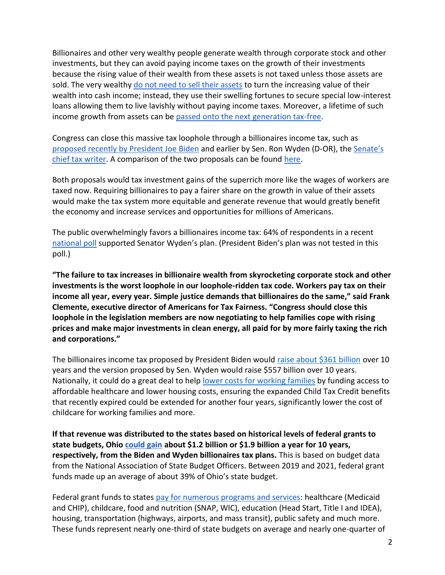Billionaires and other very wealthy people generate wealth through corporate stock and other investments, but they can avoid paying income taxes on the growth of their investments because the rising value of their wealth from these assets is not taxed unless those assets are sold. The ver[y](https://www.wsj.com/articles/buy-borrow-die-how-rich-americans-live-off-their-paper-wealth-11625909583) wealthy [do not need to sell their assets](https://www.wsj.com/articles/buy-borrow-die-how-rich-americans-live-off-their-paper-wealth-11625909583) to turn the increasing value of their wealth into cash income; instead, they use their swelling fortunes to secure special low-interest loans allowing them to live lavishly without paying income taxes. Moreover, a lifetime of such income growth from assets can b[e](https://americansfortaxfairness.org/issue/stop-protecting-billionaires-close-stepped-basis-loophole/) [passed onto the next generation tax-free.](https://americansfortaxfairness.org/issue/stop-protecting-billionaires-close-stepped-basis-loophole/)

Congress can close this massive tax loophole through a billionaires income tax, such a[s](https://www.whitehouse.gov/omb/briefing-room/2022/03/28/presidents-budget-rewards-work-not-wealth-with-new-billionaire-minimum-income-tax/) [proposed recently by President Joe Biden](https://www.whitehouse.gov/omb/briefing-room/2022/03/28/presidents-budget-rewards-work-not-wealth-with-new-billionaire-minimum-income-tax/) and earlier by Sen. Ron Wyden (D-OR), th[e](https://www.finance.senate.gov/chairmans-news/wyden-unveils-billionaires-income-tax) [Senate's](https://www.finance.senate.gov/chairmans-news/wyden-unveils-billionaires-income-tax)  [chief tax](https://www.finance.senate.gov/chairmans-news/wyden-unveils-billionaires-income-tax) writer. A comparison of the two proposals can be foun[d](https://americansfortaxfairness.org/issue/comparison-biden-wyden-billionaires-income-tax-proposals-short/) [here.](https://americansfortaxfairness.org/issue/comparison-biden-wyden-billionaires-income-tax-proposals-short/)

Both proposals would tax investment gains of the superrich more like the wages of workers are taxed now. Requiring billionaires to pay a fairer share on the growth in value of their assets would make the tax system more equitable and generate revenue that would greatly benefit the economy and increase services and opportunities for millions of Americans.

The public overwhelmingly favors a billionaires income tax: 64% of respondents in a recen[t](https://docs.google.com/document/d/1AhWvucOLV2qY6izLkZvHpPig6DDmdFaCbmeM-5E65Xw/edit) [national poll](https://docs.google.com/document/d/1AhWvucOLV2qY6izLkZvHpPig6DDmdFaCbmeM-5E65Xw/edit) supported Senator Wyden's plan. (President Biden's plan was not tested in this poll.)

**"The failure to tax increases in billionaire wealth from skyrocketing corporate stock and other investments is the worst loophole in our loophole-ridden tax code. Workers pay tax on their income all year, every year. Simple justice demands that billionaires do the same," said Frank Clemente, executive director of Americans for Tax Fairness. "Congress should close this loophole in the legislation members are now negotiating to help families cope with rising prices and make major investments in clean energy, all paid for by more fairly taxing the rich and corporations."**

The billionaires income tax proposed by President Biden would [raise about \\$361 billion](https://americansfortaxfairness.org/issue/comparison-biden-wyden-billionaires-income-tax-proposals-short/) over 10 years and the version proposed by Sen. Wyden would raise \$557 billion over 10 years. Nationally, it could do a great deal to hel[p](https://americansfortaxfairness.org/issue/6-ways-spend-revenue-billionaires-income-tax/) [lower costs for working families](https://americansfortaxfairness.org/issue/6-ways-spend-revenue-billionaires-income-tax/) by funding access to affordable healthcare and lower housing costs, ensuring the expanded Child Tax Credit benefits that recently expired could be extended for another four years, significantly lower the cost of childcare for working families and more.

**If that revenue was distributed to the states based on historical levels of federal grants to state budgets, Ohi[o](https://docs.google.com/spreadsheets/d/1uMGQ0_Ow8ssIrktfYIvIQZwB44zOHf82ILpvh5kzWUI/edit?usp=sharing) [could gain](https://docs.google.com/spreadsheets/d/1uMGQ0_Ow8ssIrktfYIvIQZwB44zOHf82ILpvh5kzWUI/edit?usp=sharing) about \$1.2 billion or \$1.9 billion a year for 10 years, respectively, from the Biden and Wyden billionaires tax plans.** This is based on budget data from the National Association of State Budget Officers. Between 2019 and 2021, federal grant funds made up an average of about 39% of Ohio's state budget.

Federal grant funds to states [pay for numerous programs and services:](https://www.cbpp.org/research/state-budget-and-tax/federal-aid-to-state-and-local-governments) healthcare (Medicaid and CHIP), childcare, food and nutrition (SNAP, WIC), education (Head Start, Title I and IDEA), housing, transportation (highways, airports, and mass transit), public safety and much more. These funds represent nearly one-third of state budgets on average and nearly one-quarter of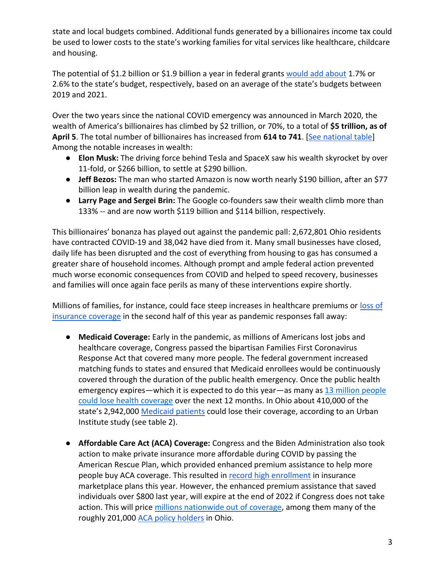state and local budgets combined. Additional funds generated by a billionaires income tax could be used to lower costs to the state's working families for vital services like healthcare, childcare and housing.

The potential of \$1.2 billion or \$1.9 billion a year in federal grant[s](https://docs.google.com/spreadsheets/d/1uMGQ0_Ow8ssIrktfYIvIQZwB44zOHf82ILpvh5kzWUI/edit?usp=sharing) [would add about](https://docs.google.com/spreadsheets/d/1uMGQ0_Ow8ssIrktfYIvIQZwB44zOHf82ILpvh5kzWUI/edit?usp=sharing) 1.7% or 2.6% to the state's budget, respectively, based on an average of the state's budgets between 2019 and 2021.

Over the two years since the national COVID emergency was announced in March 2020, the wealth of America's billionaires has climbed by \$2 trillion, or 70%, to a total of **\$5 trillion, as of April 5**. The total number of billionaires has increased from **614 to 741**. [\[See national table\]](https://docs.google.com/spreadsheets/d/1MksOhwmIojtZihAmPcfcYeaGoG3FOFZmiKUza1dIRD4/edit?usp=sharing) Among the notable increases in wealth:

- **Elon Musk:** The driving force behind Tesla and SpaceX saw his wealth skyrocket by over 11-fold, or \$266 billion, to settle at \$290 billion.
- **Jeff Bezos:** The man who started Amazon is now worth nearly \$190 billion, after an \$77 billion leap in wealth during the pandemic.
- **Larry Page and Sergei Brin:** The Google co-founders saw their wealth climb more than 133% -- and are now worth \$119 billion and \$114 billion, respectively.

This billionaires' bonanza has played out against the pandemic pall: 2,672,801 Ohio residents have contracted COVID-19 and 38,042 have died from it. Many small businesses have closed, daily life has been disrupted and the cost of everything from housing to gas has consumed a greater share of household incomes. Although prompt and ample federal action prevented much worse economic consequences from COVID and helped to speed recovery, businesses and families will once again face perils as many of these interventions expire shortly.

Millions of families, for instance, could face steep increases in healthcare premiums or [loss of](https://www.nytimes.com/2022/04/04/opinion/covid-medicaid-loss.html)  [insurance coverage](https://www.nytimes.com/2022/04/04/opinion/covid-medicaid-loss.html) in the second half of this year as pandemic responses fall away:

- **Medicaid Coverage:** Early in the pandemic, as millions of Americans lost jobs and healthcare coverage, Congress passed the bipartisan Families First Coronavirus Response Act that covered many more people. The federal government increased matching funds to states and ensured that Medicaid enrollees would be continuously covered through the duration of the public health emergency. Once the public health emergency expires—which it is expected to do this year—as many a[s](https://www.urban.org/sites/default/files/2022-03/what-will-happen-to-medicaid-enrollees-health-coverage-after-the-public-health-emergency_1_1.pdf) [13 million people](https://www.urban.org/sites/default/files/2022-03/what-will-happen-to-medicaid-enrollees-health-coverage-after-the-public-health-emergency_1_1.pdf)  [could lose health coverage](https://www.urban.org/sites/default/files/2022-03/what-will-happen-to-medicaid-enrollees-health-coverage-after-the-public-health-emergency_1_1.pdf) over the next 12 months. In Ohio about 410,000 of the state's 2,942,00[0](https://www.medicaid.gov/medicaid/program-information/medicaid-and-chip-enrollment-data/report-highlights/index.html) [Medicaid patients](https://www.medicaid.gov/medicaid/program-information/medicaid-and-chip-enrollment-data/report-highlights/index.html) could lose their coverage, according to an Urban Institute study (see table 2).
- **Affordable Care Act (ACA) Coverage:** Congress and the Biden Administration also took action to make private insurance more affordable during COVID by passing the American Rescue Plan, which provided enhanced premium assistance to help more people buy ACA coverage. This resulted i[n](https://www.whitehouse.gov/briefing-room/statements-releases/2022/03/10/during-week-of-anniversary-of-american-rescue-plan-biden-harris-administration-highlights-health-insurance-subsidies-that-promoted-critical-increases-in-enrollment-and-cost-savings/) [record high enrollment](https://www.whitehouse.gov/briefing-room/statements-releases/2022/03/10/during-week-of-anniversary-of-american-rescue-plan-biden-harris-administration-highlights-health-insurance-subsidies-that-promoted-critical-increases-in-enrollment-and-cost-savings/) in insurance marketplace plans this year. However, the enhanced premium assistance that saved individuals over \$800 last year, will expire at the end of 2022 if Congress does not take action. This will pric[e](https://tcf.org/content/commentary/american-rescue-plans-premium-assistance-must-made-permanent/?agreed=1) [millions nationwide out of coverage,](https://tcf.org/content/commentary/american-rescue-plans-premium-assistance-must-made-permanent/?agreed=1) among them many of the roughly 2[0](https://www.kff.org/health-reform/state-indicator/marketplace-enrollment/?currentTimeframe=0&sortModel=%7B%22colId%22:%22Location%22,%22sort%22:%22asc%22%7D)1,000 [ACA policy holders](https://www.kff.org/health-reform/state-indicator/marketplace-enrollment/?currentTimeframe=0&sortModel=%7B%22colId%22:%22Location%22,%22sort%22:%22asc%22%7D) in Ohio.